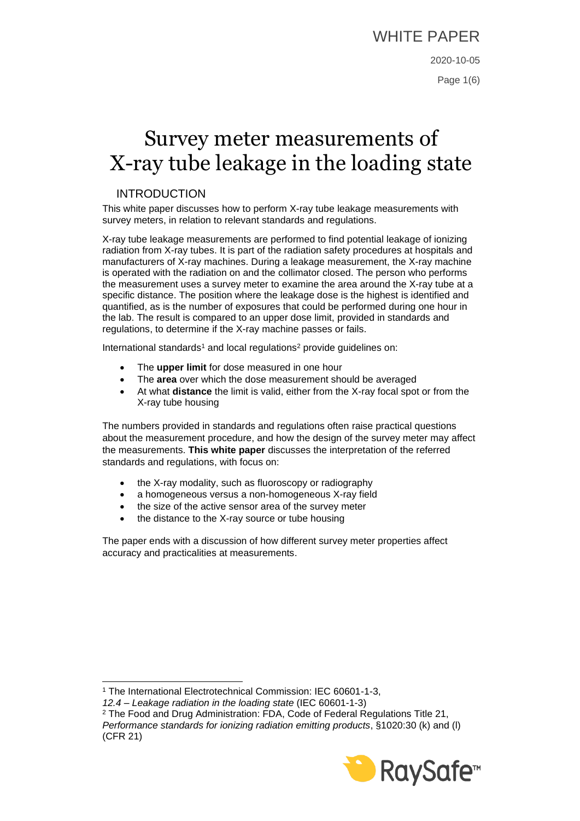# WHITE PAPER

# Survey meter measurements of X-ray tube leakage in the loading state

## INTRODUCTION

This white paper discusses how to perform X-ray tube leakage measurements with survey meters, in relation to relevant standards and regulations.

X-ray tube leakage measurements are performed to find potential leakage of ionizing radiation from X-ray tubes. It is part of the radiation safety procedures at hospitals and manufacturers of X-ray machines. During a leakage measurement, the X-ray machine is operated with the radiation on and the collimator closed. The person who performs the measurement uses a survey meter to examine the area around the X-ray tube at a specific distance. The position where the leakage dose is the highest is identified and quantified, as is the number of exposures that could be performed during one hour in the lab. The result is compared to an upper dose limit, provided in standards and regulations, to determine if the X-ray machine passes or fails.

International standards<sup>1</sup> and local regulations<sup>2</sup> provide guidelines on:

- The **upper limit** for dose measured in one hour
- The **area** over which the dose measurement should be averaged
- At what **distance** the limit is valid, either from the X-ray focal spot or from the X-ray tube housing

The numbers provided in standards and regulations often raise practical questions about the measurement procedure, and how the design of the survey meter may affect the measurements. **This white paper** discusses the interpretation of the referred standards and regulations, with focus on:

- the X-ray modality, such as fluoroscopy or radiography
- a homogeneous versus a non-homogeneous X-ray field
- the size of the active sensor area of the survey meter
- the distance to the X-ray source or tube housing

The paper ends with a discussion of how different survey meter properties affect accuracy and practicalities at measurements.

<sup>2</sup> The Food and Drug Administration: FDA, Code of Federal Regulations Title 21, *Performance standards for ionizing radiation emitting products*, §1020:30 (k) and (l) (CFR 21)



<sup>1</sup> The International Electrotechnical Commission: IEC 60601-1-3,

*<sup>12.4 –</sup> Leakage radiation in the loading state* (IEC 60601-1-3)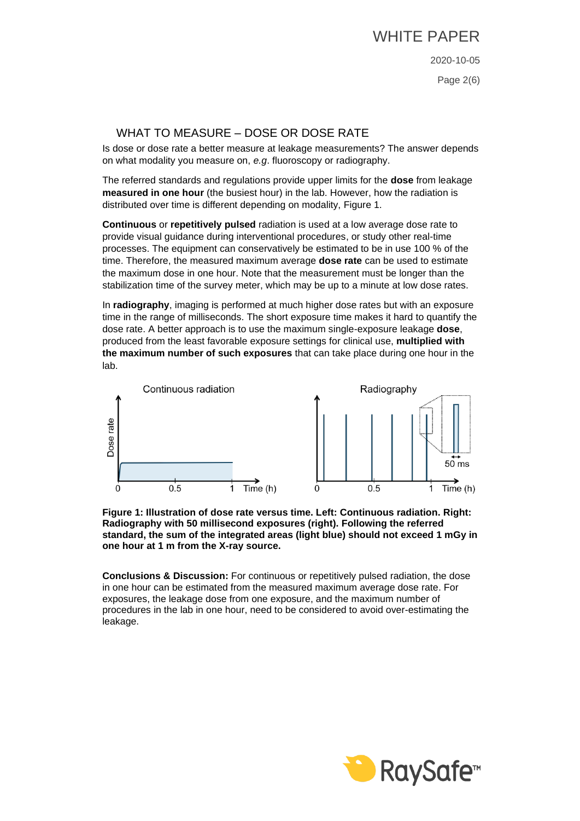Page 2(6)

## WHAT TO MEASURE – DOSE OR DOSE RATE

Is dose or dose rate a better measure at leakage measurements? The answer depends on what modality you measure on, *e.g*. fluoroscopy or radiography.

The referred standards and regulations provide upper limits for the **dose** from leakage **measured in one hour** (the busiest hour) in the lab. However, how the radiation is distributed over time is different depending on modality, Figure 1.

**Continuous** or **repetitively pulsed** radiation is used at a low average dose rate to provide visual guidance during interventional procedures, or study other real-time processes. The equipment can conservatively be estimated to be in use 100 % of the time. Therefore, the measured maximum average **dose rate** can be used to estimate the maximum dose in one hour. Note that the measurement must be longer than the stabilization time of the survey meter, which may be up to a minute at low dose rates.

In **radiography**, imaging is performed at much higher dose rates but with an exposure time in the range of milliseconds. The short exposure time makes it hard to quantify the dose rate. A better approach is to use the maximum single-exposure leakage **dose**, produced from the least favorable exposure settings for clinical use, **multiplied with the maximum number of such exposures** that can take place during one hour in the lab.





**Conclusions & Discussion:** For continuous or repetitively pulsed radiation, the dose in one hour can be estimated from the measured maximum average dose rate. For exposures, the leakage dose from one exposure, and the maximum number of procedures in the lab in one hour, need to be considered to avoid over-estimating the leakage.

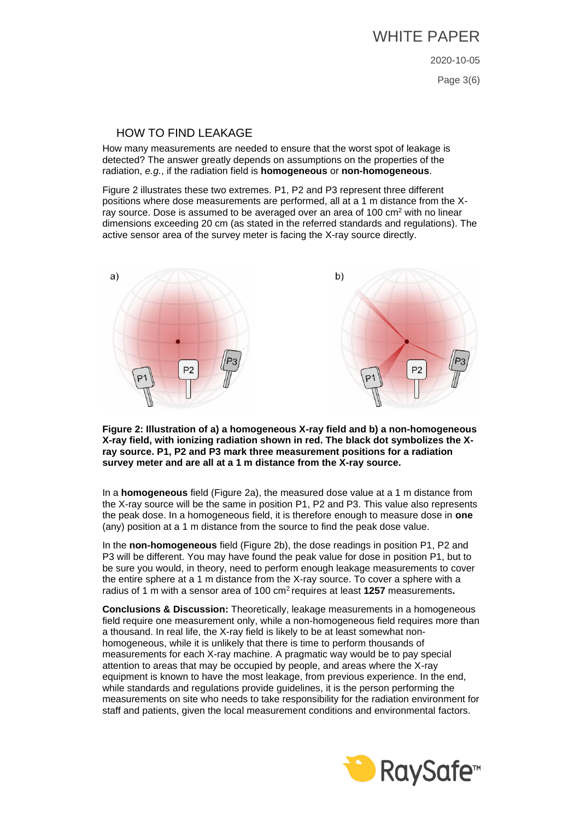Page 3(6)

#### HOW TO FIND LEAKAGE

How many measurements are needed to ensure that the worst spot of leakage is detected? The answer greatly depends on assumptions on the properties of the radiation, *e.g.*, if the radiation field is **homogeneous** or **non-homogeneous**.

Figure 2 illustrates these two extremes. P1, P2 and P3 represent three different positions where dose measurements are performed, all at a 1 m distance from the Xray source. Dose is assumed to be averaged over an area of 100 cm<sup>2</sup> with no linear dimensions exceeding 20 cm (as stated in the referred standards and regulations). The active sensor area of the survey meter is facing the X-ray source directly.



**Figure 2: Illustration of a) a homogeneous X-ray field and b) a non-homogeneous X-ray field, with ionizing radiation shown in red. The black dot symbolizes the Xray source. P1, P2 and P3 mark three measurement positions for a radiation survey meter and are all at a 1 m distance from the X-ray source.**

In a **homogeneous** field (Figure 2a), the measured dose value at a 1 m distance from the X-ray source will be the same in position P1, P2 and P3. This value also represents the peak dose. In a homogeneous field, it is therefore enough to measure dose in **one** (any) position at a 1 m distance from the source to find the peak dose value.

In the **non-homogeneous** field (Figure 2b), the dose readings in position P1, P2 and P3 will be different. You may have found the peak value for dose in position P1, but to be sure you would, in theory, need to perform enough leakage measurements to cover the entire sphere at a 1 m distance from the X-ray source. To cover a sphere with a radius of 1 m with a sensor area of 100 cm<sup>2</sup> requires at least **1257** measurements**.**

**Conclusions & Discussion:** Theoretically, leakage measurements in a homogeneous field require one measurement only, while a non-homogeneous field requires more than a thousand. In real life, the X-ray field is likely to be at least somewhat nonhomogeneous, while it is unlikely that there is time to perform thousands of measurements for each X-ray machine. A pragmatic way would be to pay special attention to areas that may be occupied by people, and areas where the X-ray equipment is known to have the most leakage, from previous experience. In the end, while standards and regulations provide guidelines, it is the person performing the measurements on site who needs to take responsibility for the radiation environment for staff and patients, given the local measurement conditions and environmental factors.

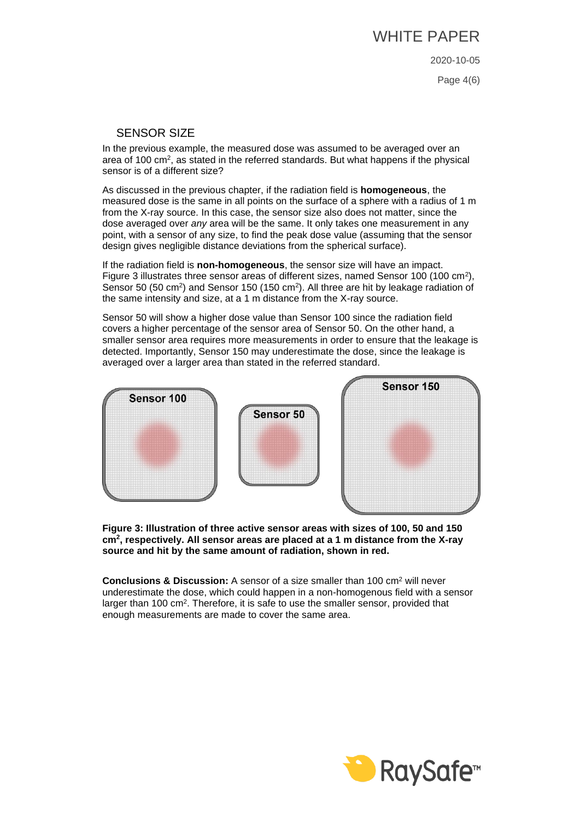Page 4(6)

#### SENSOR SIZE

In the previous example, the measured dose was assumed to be averaged over an area of 100 cm<sup>2</sup>, as stated in the referred standards. But what happens if the physical sensor is of a different size?

As discussed in the previous chapter, if the radiation field is **homogeneous**, the measured dose is the same in all points on the surface of a sphere with a radius of 1 m from the X-ray source. In this case, the sensor size also does not matter, since the dose averaged over *any* area will be the same. It only takes one measurement in any point, with a sensor of any size, to find the peak dose value (assuming that the sensor design gives negligible distance deviations from the spherical surface).

If the radiation field is **non-homogeneous**, the sensor size will have an impact. Figure 3 illustrates three sensor areas of different sizes, named Sensor 100 (100 cm<sup>2</sup>), Sensor 50 (50 cm<sup>2</sup>) and Sensor 150 (150 cm<sup>2</sup>). All three are hit by leakage radiation of the same intensity and size, at a 1 m distance from the X-ray source.

Sensor 50 will show a higher dose value than Sensor 100 since the radiation field covers a higher percentage of the sensor area of Sensor 50. On the other hand, a smaller sensor area requires more measurements in order to ensure that the leakage is detected. Importantly, Sensor 150 may underestimate the dose, since the leakage is averaged over a larger area than stated in the referred standard.



**Figure 3: Illustration of three active sensor areas with sizes of 100, 50 and 150 cm<sup>2</sup> , respectively. All sensor areas are placed at a 1 m distance from the X-ray source and hit by the same amount of radiation, shown in red.**

**Conclusions & Discussion:** A sensor of a size smaller than 100 cm<sup>2</sup> will never underestimate the dose, which could happen in a non-homogenous field with a sensor larger than 100 cm<sup>2</sup>. Therefore, it is safe to use the smaller sensor, provided that enough measurements are made to cover the same area.

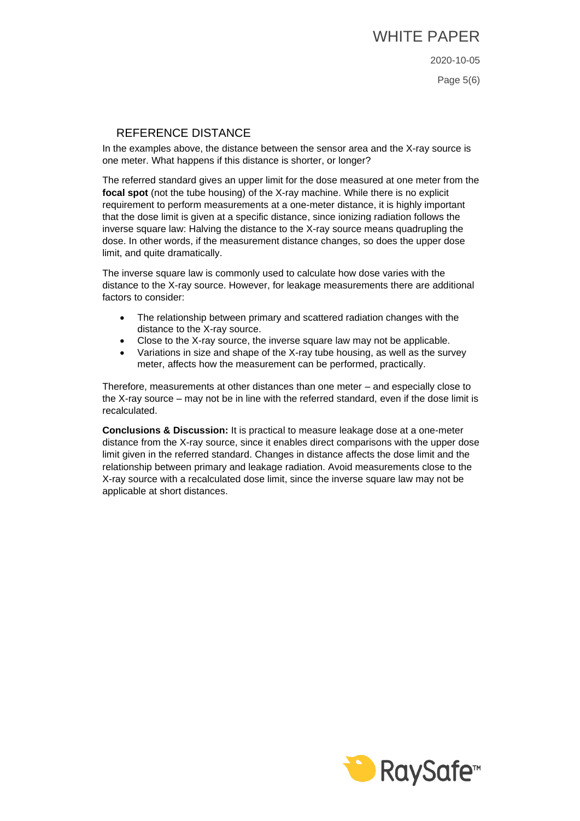Page 5(6)

#### REFERENCE DISTANCE

In the examples above, the distance between the sensor area and the X-ray source is one meter. What happens if this distance is shorter, or longer?

The referred standard gives an upper limit for the dose measured at one meter from the **focal spot** (not the tube housing) of the X-ray machine. While there is no explicit requirement to perform measurements at a one-meter distance, it is highly important that the dose limit is given at a specific distance, since ionizing radiation follows the inverse square law: Halving the distance to the X-ray source means quadrupling the dose. In other words, if the measurement distance changes, so does the upper dose limit, and quite dramatically.

The inverse square law is commonly used to calculate how dose varies with the distance to the X-ray source. However, for leakage measurements there are additional factors to consider:

- The relationship between primary and scattered radiation changes with the distance to the X-ray source.
- Close to the X-ray source, the inverse square law may not be applicable.
- Variations in size and shape of the X-ray tube housing, as well as the survey meter, affects how the measurement can be performed, practically.

Therefore, measurements at other distances than one meter – and especially close to the X-ray source – may not be in line with the referred standard, even if the dose limit is recalculated.

**Conclusions & Discussion:** It is practical to measure leakage dose at a one-meter distance from the X-ray source, since it enables direct comparisons with the upper dose limit given in the referred standard. Changes in distance affects the dose limit and the relationship between primary and leakage radiation. Avoid measurements close to the X-ray source with a recalculated dose limit, since the inverse square law may not be applicable at short distances.